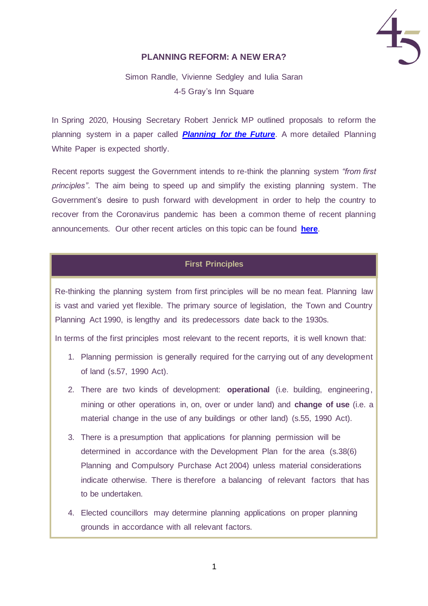

# **PLANNING REFORM: A NEW ERA?**

Simon Randle, Vivienne Sedgley and Iulia Saran 4-5 Gray's Inn Square

In Spring 2020, Housing Secretary Robert Jenrick MP outlined proposals to reform the planning system in a paper called *[Planning for the Future](https://assets.publishing.service.gov.uk/government/uploads/system/uploads/attachment_data/file/872091/Planning_for_the_Future.pdf)*. A more detailed Planning White Paper is expected shortly.

Recent reports suggest the Government intends to re-think the planning system *"from first principles"*. The aim being to speed up and simplify the existing planning system. The Government's desire to push forward with development in order to help the country to recover from the Coronavirus pandemic has been a common theme of recent planning announcements. Our other recent articles on this topic can be found **[here](http://www.4-5.co.uk/publications)**.

## **First Principles**

Re-thinking the planning system from first principles will be no mean feat. Planning law is vast and varied yet flexible. The primary source of legislation, the Town and Country Planning Act 1990, is lengthy and its predecessors date back to the 1930s.

In terms of the first principles most relevant to the recent reports, it is well known that:

- 1. Planning permission is generally required for the carrying out of any development of land (s.57, 1990 Act).
- 2. There are two kinds of development: **operational** (i.e. building, engineering, mining or other operations in, on, over or under land) and **change of use** (i.e. a material change in the use of any buildings or other land) (s.55, 1990 Act).
- 3. There is a presumption that applications for planning permission will be determined in accordance with the Development Plan for the area (s.38(6) Planning and Compulsory Purchase Act 2004) unless material considerations indicate otherwise. There is therefore a balancing of relevant factors that has to be undertaken.
- 4. Elected councillors may determine planning applications on proper planning grounds in accordance with all relevant factors.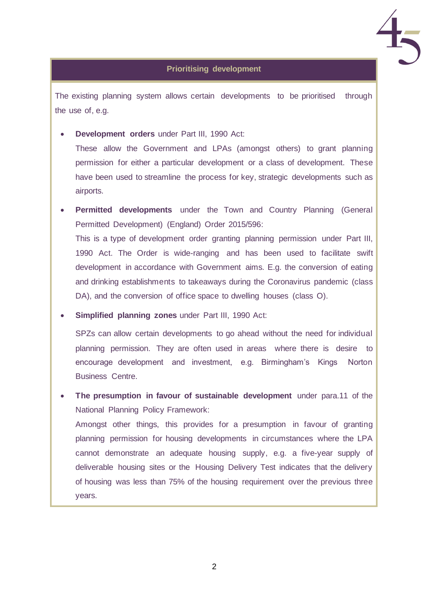

## **Prioritising development**

The existing planning system allows certain developments to be prioritised through the use of, e.g.

• **Development orders** under Part III, 1990 Act:

These allow the Government and LPAs (amongst others) to grant planning permission for either a particular development or a class of development. These have been used to streamline the process for key, strategic developments such as airports.

**Permitted developments** under the Town and Country Planning (General Permitted Development) (England) Order 2015/596: This is a type of development order granting planning permission under Part III, 1990 Act. The Order is wide-ranging and has been used to facilitate swift development in accordance with Government aims. E.g. the conversion of eating and drinking establishments to takeaways during the Coronavirus pandemic (class DA), and the conversion of office space to dwelling houses (class O).

• **Simplified planning zones** under Part III, 1990 Act:

SPZs can allow certain developments to go ahead without the need for individual planning permission. They are often used in areas where there is desire to encourage development and investment, e.g. Birmingham's Kings Norton Business Centre.

• **The presumption in favour of sustainable development** under para.11 of the National Planning Policy Framework:

Amongst other things, this provides for a presumption in favour of granting planning permission for housing developments in circumstances where the LPA cannot demonstrate an adequate housing supply, e.g. a five-year supply of deliverable housing sites or the Housing Delivery Test indicates that the delivery of housing was less than 75% of the housing requirement over the previous three years.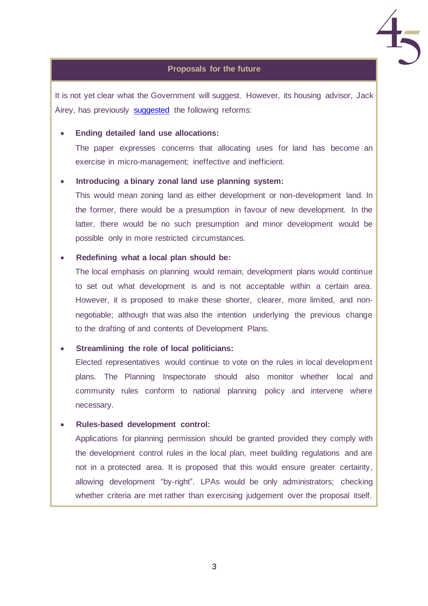

## **Proposals for the future**

It is not yet clear what the Government will suggest. However, its housing advisor, Jack Airey, has previously [suggested](https://policyexchange.org.uk/wp-content/uploads/Rethinking-the-Planning-System-for-the-21st-Century.pdf) the following reforms:

## • **Ending detailed land use allocations:**

The paper expresses concerns that allocating uses for land has become an exercise in micro-management; ineffective and inefficient.

#### • **Introducing a binary zonal land use planning system:**

This would mean zoning land as either development or non-development land. In the former, there would be a presumption in favour of new development. In the latter, there would be no such presumption and minor development would be possible only in more restricted circumstances.

#### • **Redefining what a local plan should be:**

The local emphasis on planning would remain; development plans would continue to set out what development is and is not acceptable within a certain area. However, it is proposed to make these shorter, clearer, more limited, and nonnegotiable; although that was also the intention underlying the previous change to the drafting of and contents of Development Plans.

#### • **Streamlining the role of local politicians:**

Elected representatives would continue to vote on the rules in local development plans. The Planning Inspectorate should also monitor whether local and community rules conform to national planning policy and intervene where necessary.

#### • **Rules-based development control:**

Applications for planning permission should be granted provided they comply with the development control rules in the local plan, meet building regulations and are not in a protected area. It is proposed that this would ensure greater certainty, allowing development "by-right". LPAs would be only administrators; checking whether criteria are met rather than exercising judgement over the proposal itself.